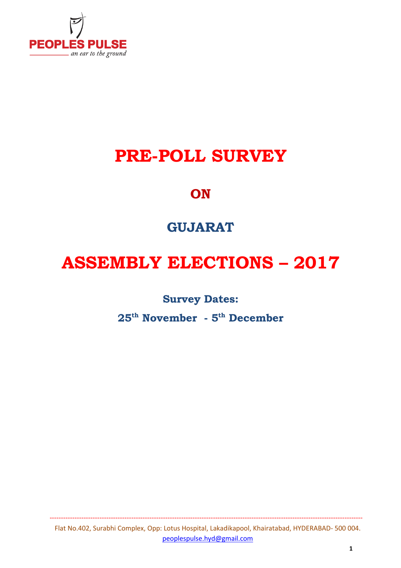

# **PRE-POLL SURVEY**

## **ON**

# **GUJARAT**

# **ASSEMBLY ELECTIONS – 2017**

#### **Survey Dates:**

**25th November - 5th December**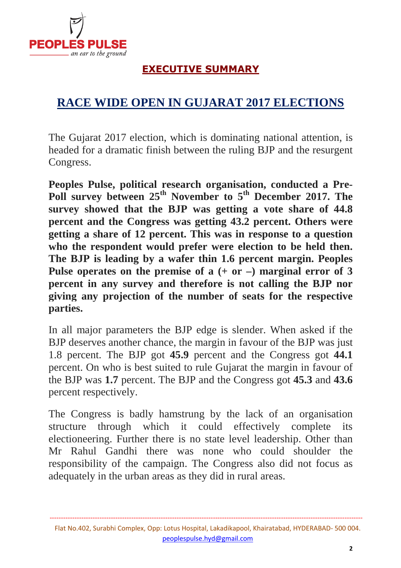

#### **EXECUTIVE SUMMARY**

### **RACE WIDE OPEN IN GUJARAT 2017 ELECTIONS**

The Gujarat 2017 election, which is dominating national attention, is headed for a dramatic finish between the ruling BJP and the resurgent Congress.

**Peoples Pulse, political research organisation, conducted a Pre-Poll survey between 25th November to 5th December 2017. The survey showed that the BJP was getting a vote share of 44.8 percent and the Congress was getting 43.2 percent. Others were getting a share of 12 percent. This was in response to a question who the respondent would prefer were election to be held then. The BJP is leading by a wafer thin 1.6 percent margin. Peoples Pulse operates on the premise of a (+ or –) marginal error of 3 percent in any survey and therefore is not calling the BJP nor giving any projection of the number of seats for the respective parties.** 

In all major parameters the BJP edge is slender. When asked if the BJP deserves another chance, the margin in favour of the BJP was just 1.8 percent. The BJP got **45.9** percent and the Congress got **44.1** percent. On who is best suited to rule Gujarat the margin in favour of the BJP was **1.7** percent. The BJP and the Congress got **45.3** and **43.6** percent respectively.

The Congress is badly hamstrung by the lack of an organisation structure through which it could effectively complete its electioneering. Further there is no state level leadership. Other than Mr Rahul Gandhi there was none who could shoulder the responsibility of the campaign. The Congress also did not focus as adequately in the urban areas as they did in rural areas.

Flat No.402, Surabhi Complex, Opp: Lotus Hospital, Lakadikapool, Khairatabad, HYDERABAD- 500 004. peoplespulse.hyd@gmail.com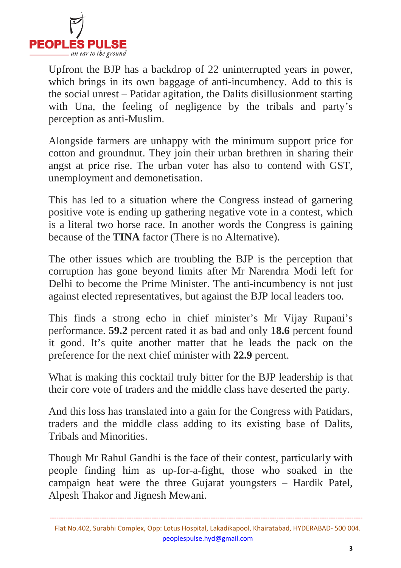

Upfront the BJP has a backdrop of 22 uninterrupted years in power, which brings in its own baggage of anti-incumbency. Add to this is the social unrest – Patidar agitation, the Dalits disillusionment starting with Una, the feeling of negligence by the tribals and party's perception as anti-Muslim.

Alongside farmers are unhappy with the minimum support price for cotton and groundnut. They join their urban brethren in sharing their angst at price rise. The urban voter has also to contend with GST, unemployment and demonetisation.

This has led to a situation where the Congress instead of garnering positive vote is ending up gathering negative vote in a contest, which is a literal two horse race. In another words the Congress is gaining because of the **TINA** factor (There is no Alternative).

The other issues which are troubling the BJP is the perception that corruption has gone beyond limits after Mr Narendra Modi left for Delhi to become the Prime Minister. The anti-incumbency is not just against elected representatives, but against the BJP local leaders too.

This finds a strong echo in chief minister's Mr Vijay Rupani's performance. **59.2** percent rated it as bad and only **18.6** percent found it good. It's quite another matter that he leads the pack on the preference for the next chief minister with **22.9** percent.

What is making this cocktail truly bitter for the BJP leadership is that their core vote of traders and the middle class have deserted the party.

And this loss has translated into a gain for the Congress with Patidars, traders and the middle class adding to its existing base of Dalits, Tribals and Minorities.

Though Mr Rahul Gandhi is the face of their contest, particularly with people finding him as up-for-a-fight, those who soaked in the campaign heat were the three Gujarat youngsters – Hardik Patel, Alpesh Thakor and Jignesh Mewani.

Flat No.402, Surabhi Complex, Opp: Lotus Hospital, Lakadikapool, Khairatabad, HYDERABAD- 500 004. peoplespulse.hyd@gmail.com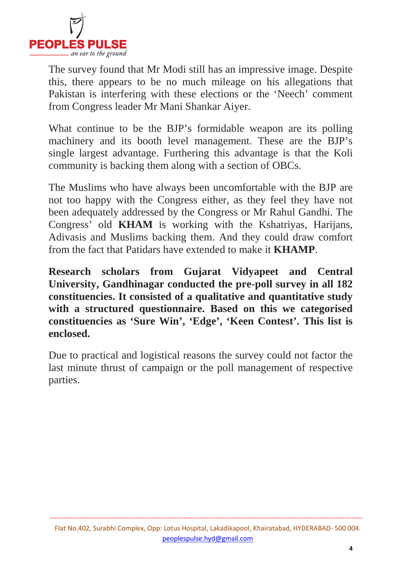

The survey found that Mr Modi still has an impressive image. Despite this, there appears to be no much mileage on his allegations that Pakistan is interfering with these elections or the 'Neech' comment from Congress leader Mr Mani Shankar Aiyer.

What continue to be the BJP's formidable weapon are its polling machinery and its booth level management. These are the BJP's single largest advantage. Furthering this advantage is that the Koli community is backing them along with a section of OBCs.

The Muslims who have always been uncomfortable with the BJP are not too happy with the Congress either, as they feel they have not been adequately addressed by the Congress or Mr Rahul Gandhi. The Congress' old **KHAM** is working with the Kshatriyas, Harijans, Adivasis and Muslims backing them. And they could draw comfort from the fact that Patidars have extended to make it **KHAMP**.

**Research scholars from Gujarat Vidyapeet and Central University, Gandhinagar conducted the pre-poll survey in all 182 constituencies. It consisted of a qualitative and quantitative study with a structured questionnaire. Based on this we categorised constituencies as 'Sure Win', 'Edge', 'Keen Contest'. This list is enclosed.** 

Due to practical and logistical reasons the survey could not factor the last minute thrust of campaign or the poll management of respective parties.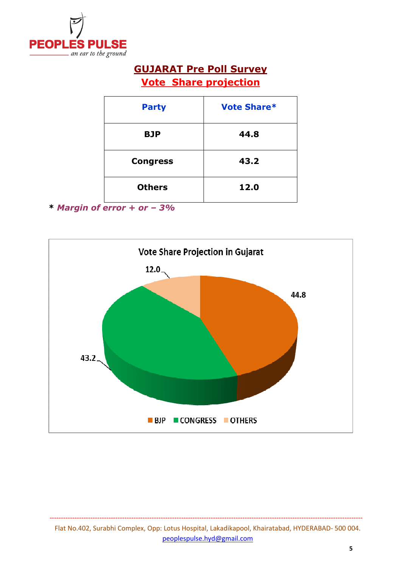

#### **GUJARAT Pre Poll Survey Vote Share projection**

| <b>Party</b>    | <b>Vote Share*</b> |
|-----------------|--------------------|
| <b>BJP</b>      | 44.8               |
| <b>Congress</b> | 43.2               |
| <b>Others</b>   | 12.0               |

**<sup>\*</sup>** *Margin of error + or – 3%*

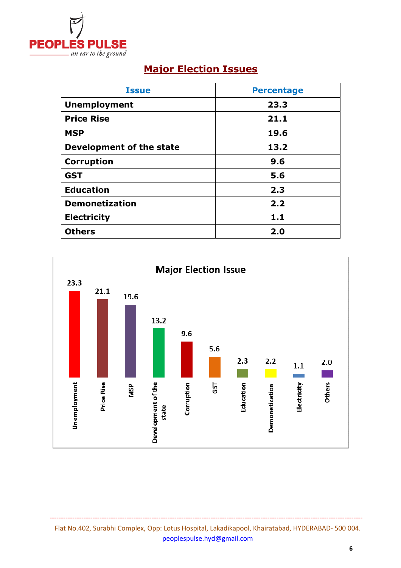

## **Major Election Issues**

| <b>Issue</b>             | <b>Percentage</b> |
|--------------------------|-------------------|
| <b>Unemployment</b>      | 23.3              |
| <b>Price Rise</b>        | 21.1              |
| <b>MSP</b>               | 19.6              |
| Development of the state | 13.2              |
| <b>Corruption</b>        | 9.6               |
| <b>GST</b>               | 5.6               |
| <b>Education</b>         | 2.3               |
| <b>Demonetization</b>    | 2.2               |
| <b>Electricity</b>       | 1.1               |
| <b>Others</b>            | 2.0               |



Flat No.402, Surabhi Complex, Opp: Lotus Hospital, Lakadikapool, Khairatabad, HYDERABAD- 500 004. peoplespulse.hyd@gmail.com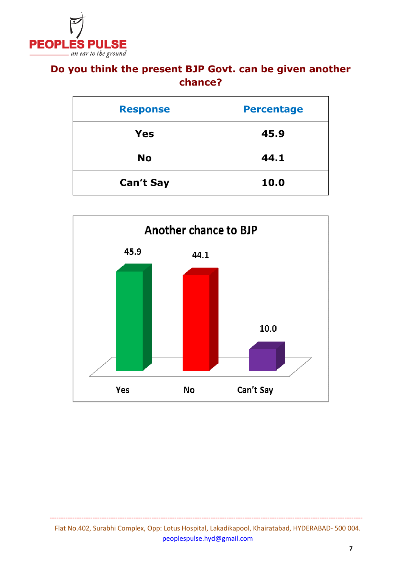

#### **Do you think the present BJP Govt. can be given another chance?**

| <b>Response</b>  | <b>Percentage</b> |
|------------------|-------------------|
| Yes              | 45.9              |
| <b>No</b>        | 44.1              |
| <b>Can't Say</b> | 10.0              |

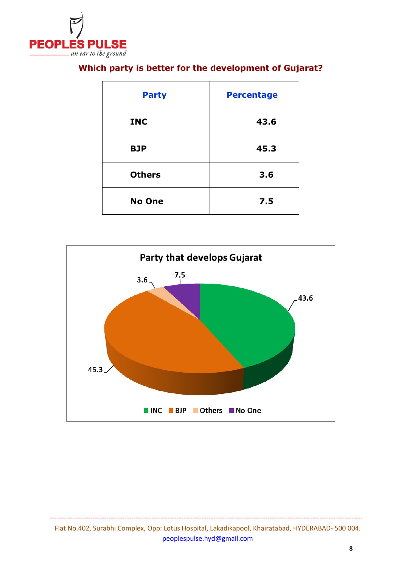

| <b>Party</b>  | <b>Percentage</b> |
|---------------|-------------------|
| <b>INC</b>    | 43.6              |
| <b>BJP</b>    | 45.3              |
| <b>Others</b> | 3.6               |
| <b>No One</b> | 7.5               |

#### **Which party is better for the development of Gujarat?**

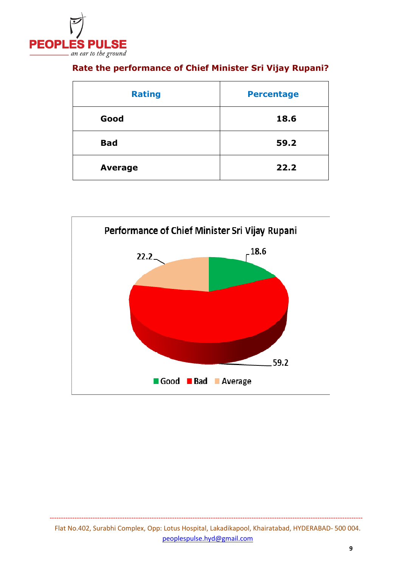

| <b>Rating</b>  | <b>Percentage</b> |
|----------------|-------------------|
| Good           | 18.6              |
| <b>Bad</b>     | 59.2              |
| <b>Average</b> | 22.2              |

#### **Rate the performance of Chief Minister Sri Vijay Rupani?**

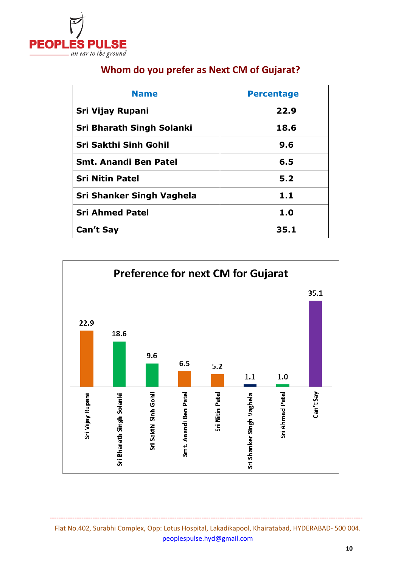

| <b>Name</b>                  | <b>Percentage</b> |
|------------------------------|-------------------|
| Sri Vijay Rupani             | 22.9              |
| Sri Bharath Singh Solanki    | 18.6              |
| Sri Sakthi Sinh Gohil        | 9.6               |
| <b>Smt. Anandi Ben Patel</b> | 6.5               |
| <b>Sri Nitin Patel</b>       | 5.2               |
| Sri Shanker Singh Vaghela    | 1.1               |
| <b>Sri Ahmed Patel</b>       | 1.0               |
| <b>Can't Say</b>             | 35.1              |

#### **Whom do you prefer as Next CM of Gujarat?**



Flat No.402, Surabhi Complex, Opp: Lotus Hospital, Lakadikapool, Khairatabad, HYDERABAD- 500 004. peoplespulse.hyd@gmail.com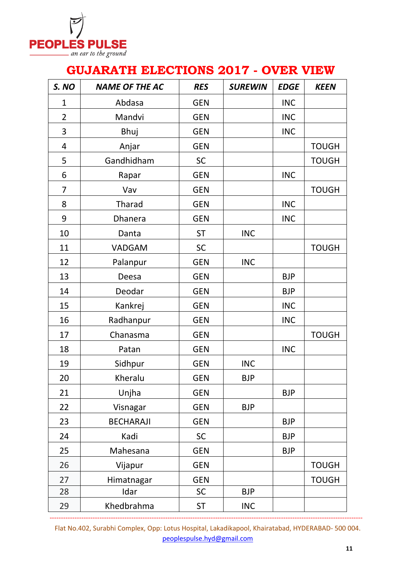

### **GUJARATH ELECTIONS 2017 - OVER VIEW**

| S. NO          | <b>NAME OF THE AC</b> | <b>RES</b> | <b>SUREWIN</b> | <b>EDGE</b> | <b>KEEN</b>  |
|----------------|-----------------------|------------|----------------|-------------|--------------|
| $\mathbf 1$    | Abdasa                | <b>GEN</b> |                | <b>INC</b>  |              |
| $\overline{2}$ | Mandvi                | <b>GEN</b> |                | <b>INC</b>  |              |
| 3              | Bhuj                  | <b>GEN</b> |                | <b>INC</b>  |              |
| $\overline{4}$ | Anjar                 | <b>GEN</b> |                |             | <b>TOUGH</b> |
| 5              | Gandhidham            | <b>SC</b>  |                |             | <b>TOUGH</b> |
| 6              | Rapar                 | <b>GEN</b> |                | <b>INC</b>  |              |
| $\overline{7}$ | Vav                   | <b>GEN</b> |                |             | <b>TOUGH</b> |
| 8              | Tharad                | <b>GEN</b> |                | <b>INC</b>  |              |
| 9              | <b>Dhanera</b>        | <b>GEN</b> |                | <b>INC</b>  |              |
| 10             | Danta                 | <b>ST</b>  | <b>INC</b>     |             |              |
| 11             | <b>VADGAM</b>         | <b>SC</b>  |                |             | <b>TOUGH</b> |
| 12             | Palanpur              | <b>GEN</b> | <b>INC</b>     |             |              |
| 13             | Deesa                 | <b>GEN</b> |                | <b>BJP</b>  |              |
| 14             | Deodar                | <b>GEN</b> |                | <b>BJP</b>  |              |
| 15             | Kankrej               | <b>GEN</b> |                | <b>INC</b>  |              |
| 16             | Radhanpur             | <b>GEN</b> |                | <b>INC</b>  |              |
| 17             | Chanasma              | <b>GEN</b> |                |             | <b>TOUGH</b> |
| 18             | Patan                 | <b>GEN</b> |                | <b>INC</b>  |              |
| 19             | Sidhpur               | <b>GEN</b> | <b>INC</b>     |             |              |
| 20             | Kheralu               | <b>GEN</b> | <b>BJP</b>     |             |              |
| 21             | Unjha                 | <b>GEN</b> |                | <b>BJP</b>  |              |
| 22             | Visnagar              | <b>GEN</b> | <b>BJP</b>     |             |              |
| 23             | <b>BECHARAJI</b>      | <b>GEN</b> |                | <b>BJP</b>  |              |
| 24             | Kadi                  | SC         |                | <b>BJP</b>  |              |
| 25             | Mahesana              | <b>GEN</b> |                | <b>BJP</b>  |              |
| 26             | Vijapur               | <b>GEN</b> |                |             | <b>TOUGH</b> |
| 27             | Himatnagar            | <b>GEN</b> |                |             | <b>TOUGH</b> |
| 28             | Idar                  | <b>SC</b>  | <b>BJP</b>     |             |              |
| 29             | Khedbrahma            | <b>ST</b>  | <b>INC</b>     |             |              |

Flat No.402, Surabhi Complex, Opp: Lotus Hospital, Lakadikapool, Khairatabad, HYDERABAD- 500 004. peoplespulse.hyd@gmail.com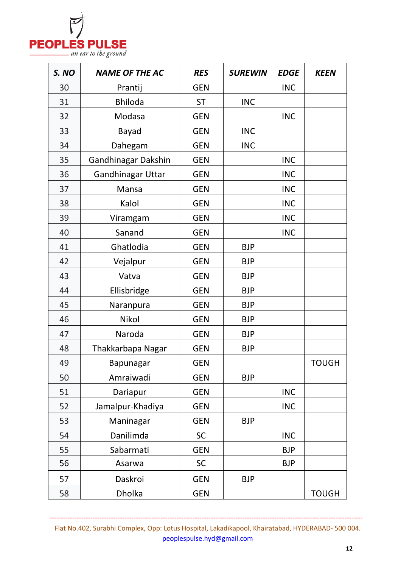

| S. NO | <b>NAME OF THE AC</b>    | <b>RES</b> | <b>SUREWIN</b> | <b>EDGE</b> | <b>KEEN</b>  |
|-------|--------------------------|------------|----------------|-------------|--------------|
| 30    | Prantij                  | <b>GEN</b> |                | <b>INC</b>  |              |
| 31    | <b>Bhiloda</b>           | <b>ST</b>  | <b>INC</b>     |             |              |
| 32    | Modasa                   | <b>GEN</b> |                | <b>INC</b>  |              |
| 33    | <b>Bayad</b>             | <b>GEN</b> | <b>INC</b>     |             |              |
| 34    | Dahegam                  | <b>GEN</b> | <b>INC</b>     |             |              |
| 35    | Gandhinagar Dakshin      | <b>GEN</b> |                | <b>INC</b>  |              |
| 36    | <b>Gandhinagar Uttar</b> | <b>GEN</b> |                | <b>INC</b>  |              |
| 37    | Mansa                    | <b>GEN</b> |                | <b>INC</b>  |              |
| 38    | Kalol                    | <b>GEN</b> |                | <b>INC</b>  |              |
| 39    | Viramgam                 | <b>GEN</b> |                | <b>INC</b>  |              |
| 40    | Sanand                   | <b>GEN</b> |                | <b>INC</b>  |              |
| 41    | Ghatlodia                | <b>GEN</b> | <b>BJP</b>     |             |              |
| 42    | Vejalpur                 | <b>GEN</b> | <b>BJP</b>     |             |              |
| 43    | Vatva                    | <b>GEN</b> | <b>BJP</b>     |             |              |
| 44    | Ellisbridge              | <b>GEN</b> | <b>BJP</b>     |             |              |
| 45    | Naranpura                | <b>GEN</b> | <b>BJP</b>     |             |              |
| 46    | Nikol                    | <b>GEN</b> | <b>BJP</b>     |             |              |
| 47    | Naroda                   | <b>GEN</b> | <b>BJP</b>     |             |              |
| 48    | Thakkarbapa Nagar        | <b>GEN</b> | <b>BJP</b>     |             |              |
| 49    | Bapunagar                | <b>GEN</b> |                |             | <b>TOUGH</b> |
| 50    | Amraiwadi                | <b>GEN</b> | <b>BJP</b>     |             |              |
| 51    | Dariapur                 | <b>GEN</b> |                | <b>INC</b>  |              |
| 52    | Jamalpur-Khadiya         | <b>GEN</b> |                | <b>INC</b>  |              |
| 53    | Maninagar                | <b>GEN</b> | <b>BJP</b>     |             |              |
| 54    | Danilimda                | SC         |                | <b>INC</b>  |              |
| 55    | Sabarmati                | <b>GEN</b> |                | <b>BJP</b>  |              |
| 56    | Asarwa                   | SC         |                | <b>BJP</b>  |              |
| 57    | Daskroi                  | <b>GEN</b> | <b>BJP</b>     |             |              |
| 58    | Dholka                   | <b>GEN</b> |                |             | <b>TOUGH</b> |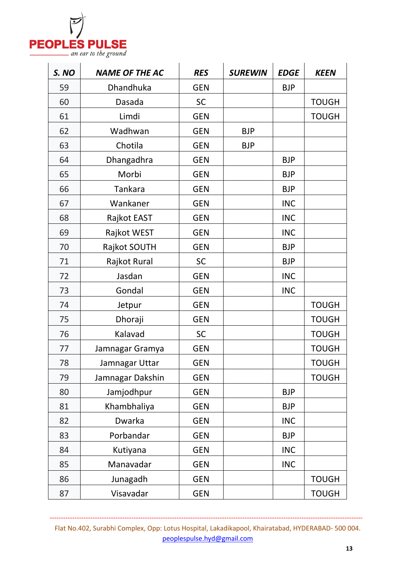

| S. NO | <b>NAME OF THE AC</b> | <b>RES</b> | <b>SUREWIN</b> | <b>EDGE</b> | <b>KEEN</b>  |
|-------|-----------------------|------------|----------------|-------------|--------------|
| 59    | Dhandhuka             | <b>GEN</b> |                | <b>BJP</b>  |              |
| 60    | Dasada                | SC         |                |             | <b>TOUGH</b> |
| 61    | Limdi                 | <b>GEN</b> |                |             | <b>TOUGH</b> |
| 62    | Wadhwan               | <b>GEN</b> | <b>BJP</b>     |             |              |
| 63    | Chotila               | <b>GEN</b> | <b>BJP</b>     |             |              |
| 64    | Dhangadhra            | <b>GEN</b> |                | <b>BJP</b>  |              |
| 65    | Morbi                 | <b>GEN</b> |                | <b>BJP</b>  |              |
| 66    | <b>Tankara</b>        | <b>GEN</b> |                | <b>BJP</b>  |              |
| 67    | Wankaner              | <b>GEN</b> |                | <b>INC</b>  |              |
| 68    | Rajkot EAST           | <b>GEN</b> |                | <b>INC</b>  |              |
| 69    | Rajkot WEST           | <b>GEN</b> |                | <b>INC</b>  |              |
| 70    | Rajkot SOUTH          | <b>GEN</b> |                | <b>BJP</b>  |              |
| 71    | Rajkot Rural          | SC         |                | <b>BJP</b>  |              |
| 72    | Jasdan                | <b>GEN</b> |                | <b>INC</b>  |              |
| 73    | Gondal                | <b>GEN</b> |                | <b>INC</b>  |              |
| 74    | Jetpur                | <b>GEN</b> |                |             | <b>TOUGH</b> |
| 75    | Dhoraji               | <b>GEN</b> |                |             | <b>TOUGH</b> |
| 76    | Kalavad               | SC         |                |             | <b>TOUGH</b> |
| 77    | Jamnagar Gramya       | <b>GEN</b> |                |             | <b>TOUGH</b> |
| 78    | Jamnagar Uttar        | <b>GEN</b> |                |             | <b>TOUGH</b> |
| 79    | Jamnagar Dakshin      | <b>GEN</b> |                |             | <b>TOUGH</b> |
| 80    | Jamjodhpur            | <b>GEN</b> |                | <b>BJP</b>  |              |
| 81    | Khambhaliya           | <b>GEN</b> |                | <b>BJP</b>  |              |
| 82    | Dwarka                | <b>GEN</b> |                | <b>INC</b>  |              |
| 83    | Porbandar             | <b>GEN</b> |                | <b>BJP</b>  |              |
| 84    | Kutiyana              | <b>GEN</b> |                | <b>INC</b>  |              |
| 85    | Manavadar             | <b>GEN</b> |                | <b>INC</b>  |              |
| 86    | Junagadh              | <b>GEN</b> |                |             | <b>TOUGH</b> |
| 87    | Visavadar             | <b>GEN</b> |                |             | <b>TOUGH</b> |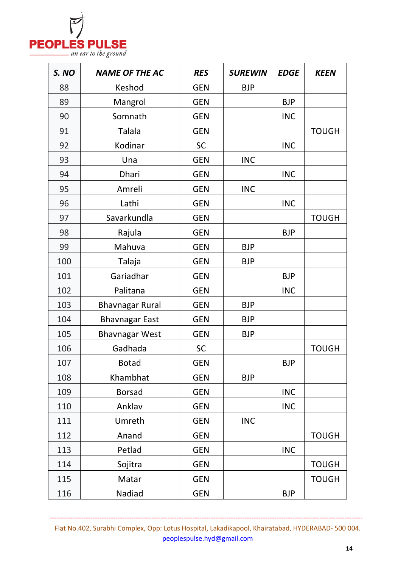

| S. NO | <b>NAME OF THE AC</b>  | <b>RES</b> | <b>SUREWIN</b> | <b>EDGE</b> | <b>KEEN</b>  |
|-------|------------------------|------------|----------------|-------------|--------------|
| 88    | Keshod                 | <b>GEN</b> | <b>BJP</b>     |             |              |
| 89    | Mangrol                | <b>GEN</b> |                | <b>BJP</b>  |              |
| 90    | Somnath                | <b>GEN</b> |                | <b>INC</b>  |              |
| 91    | <b>Talala</b>          | <b>GEN</b> |                |             | <b>TOUGH</b> |
| 92    | Kodinar                | SC         |                | <b>INC</b>  |              |
| 93    | Una                    | <b>GEN</b> | <b>INC</b>     |             |              |
| 94    | Dhari                  | <b>GEN</b> |                | <b>INC</b>  |              |
| 95    | Amreli                 | <b>GEN</b> | <b>INC</b>     |             |              |
| 96    | Lathi                  | <b>GEN</b> |                | <b>INC</b>  |              |
| 97    | Savarkundla            | <b>GEN</b> |                |             | <b>TOUGH</b> |
| 98    | Rajula                 | <b>GEN</b> |                | <b>BJP</b>  |              |
| 99    | Mahuva                 | <b>GEN</b> | <b>BJP</b>     |             |              |
| 100   | Talaja                 | <b>GEN</b> | <b>BJP</b>     |             |              |
| 101   | Gariadhar              | <b>GEN</b> |                | <b>BJP</b>  |              |
| 102   | Palitana               | <b>GEN</b> |                | <b>INC</b>  |              |
| 103   | <b>Bhavnagar Rural</b> | <b>GEN</b> | <b>BJP</b>     |             |              |
| 104   | <b>Bhavnagar East</b>  | <b>GEN</b> | <b>BJP</b>     |             |              |
| 105   | <b>Bhavnagar West</b>  | <b>GEN</b> | <b>BJP</b>     |             |              |
| 106   | Gadhada                | SC         |                |             | <b>TOUGH</b> |
| 107   | <b>Botad</b>           | <b>GEN</b> |                | <b>BJP</b>  |              |
| 108   | Khambhat               | <b>GEN</b> | <b>BJP</b>     |             |              |
| 109   | <b>Borsad</b>          | <b>GEN</b> |                | <b>INC</b>  |              |
| 110   | Anklav                 | <b>GEN</b> |                | <b>INC</b>  |              |
| 111   | Umreth                 | <b>GEN</b> | <b>INC</b>     |             |              |
| 112   | Anand                  | <b>GEN</b> |                |             | <b>TOUGH</b> |
| 113   | Petlad                 | <b>GEN</b> |                | <b>INC</b>  |              |
| 114   | Sojitra                | <b>GEN</b> |                |             | <b>TOUGH</b> |
| 115   | Matar                  | <b>GEN</b> |                |             | <b>TOUGH</b> |
| 116   | Nadiad                 | <b>GEN</b> |                | <b>BJP</b>  |              |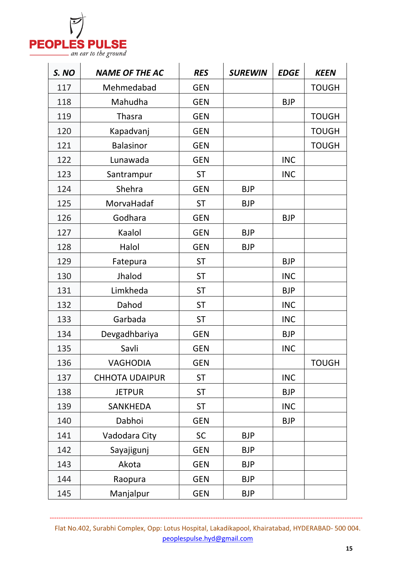

| S. NO | <b>NAME OF THE AC</b> | <b>RES</b> | <b>SUREWIN</b> | <b>EDGE</b> | <b>KEEN</b>  |
|-------|-----------------------|------------|----------------|-------------|--------------|
| 117   | Mehmedabad            | <b>GEN</b> |                |             | <b>TOUGH</b> |
| 118   | Mahudha               | <b>GEN</b> |                | <b>BJP</b>  |              |
| 119   | <b>Thasra</b>         | <b>GEN</b> |                |             | <b>TOUGH</b> |
| 120   | Kapadvanj             | <b>GEN</b> |                |             | <b>TOUGH</b> |
| 121   | <b>Balasinor</b>      | <b>GEN</b> |                |             | <b>TOUGH</b> |
| 122   | Lunawada              | <b>GEN</b> |                | <b>INC</b>  |              |
| 123   | Santrampur            | <b>ST</b>  |                | <b>INC</b>  |              |
| 124   | Shehra                | <b>GEN</b> | <b>BJP</b>     |             |              |
| 125   | MorvaHadaf            | <b>ST</b>  | <b>BJP</b>     |             |              |
| 126   | Godhara               | <b>GEN</b> |                | <b>BJP</b>  |              |
| 127   | Kaalol                | <b>GEN</b> | <b>BJP</b>     |             |              |
| 128   | Halol                 | <b>GEN</b> | <b>BJP</b>     |             |              |
| 129   | Fatepura              | <b>ST</b>  |                | <b>BJP</b>  |              |
| 130   | Jhalod                | <b>ST</b>  |                | <b>INC</b>  |              |
| 131   | Limkheda              | <b>ST</b>  |                | <b>BJP</b>  |              |
| 132   | Dahod                 | <b>ST</b>  |                | <b>INC</b>  |              |
| 133   | Garbada               | <b>ST</b>  |                | <b>INC</b>  |              |
| 134   | Devgadhbariya         | <b>GEN</b> |                | <b>BJP</b>  |              |
| 135   | Savli                 | <b>GEN</b> |                | <b>INC</b>  |              |
| 136   | <b>VAGHODIA</b>       | <b>GEN</b> |                |             | <b>TOUGH</b> |
| 137   | <b>CHHOTA UDAIPUR</b> | <b>ST</b>  |                | <b>INC</b>  |              |
| 138   | <b>JETPUR</b>         | <b>ST</b>  |                | <b>BJP</b>  |              |
| 139   | <b>SANKHEDA</b>       | <b>ST</b>  |                | <b>INC</b>  |              |
| 140   | Dabhoi                | <b>GEN</b> |                | <b>BJP</b>  |              |
| 141   | Vadodara City         | <b>SC</b>  | <b>BJP</b>     |             |              |
| 142   | Sayajigunj            | <b>GEN</b> | <b>BJP</b>     |             |              |
| 143   | Akota                 | <b>GEN</b> | <b>BJP</b>     |             |              |
| 144   | Raopura               | <b>GEN</b> | <b>BJP</b>     |             |              |
| 145   | Manjalpur             | <b>GEN</b> | <b>BJP</b>     |             |              |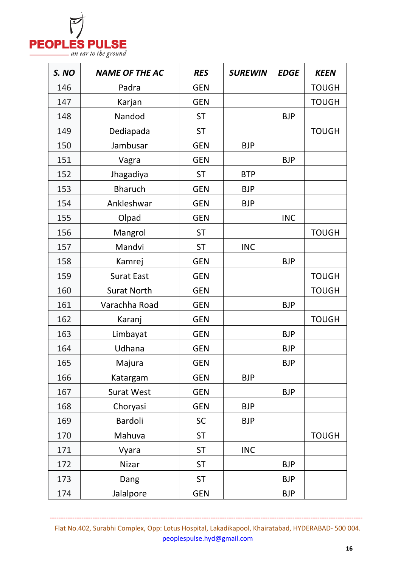

| S. NO | <b>NAME OF THE AC</b> | <b>RES</b> | <b>SUREWIN</b> | <b>EDGE</b> | <b>KEEN</b>  |
|-------|-----------------------|------------|----------------|-------------|--------------|
| 146   | Padra                 | <b>GEN</b> |                |             | <b>TOUGH</b> |
| 147   | Karjan                | <b>GEN</b> |                |             | <b>TOUGH</b> |
| 148   | Nandod                | <b>ST</b>  |                | <b>BJP</b>  |              |
| 149   | Dediapada             | <b>ST</b>  |                |             | <b>TOUGH</b> |
| 150   | Jambusar              | <b>GEN</b> | <b>BJP</b>     |             |              |
| 151   | Vagra                 | <b>GEN</b> |                | <b>BJP</b>  |              |
| 152   | Jhagadiya             | <b>ST</b>  | <b>BTP</b>     |             |              |
| 153   | <b>Bharuch</b>        | <b>GEN</b> | <b>BJP</b>     |             |              |
| 154   | Ankleshwar            | <b>GEN</b> | <b>BJP</b>     |             |              |
| 155   | Olpad                 | <b>GEN</b> |                | <b>INC</b>  |              |
| 156   | Mangrol               | <b>ST</b>  |                |             | <b>TOUGH</b> |
| 157   | Mandvi                | <b>ST</b>  | <b>INC</b>     |             |              |
| 158   | Kamrej                | <b>GEN</b> |                | <b>BJP</b>  |              |
| 159   | <b>Surat East</b>     | <b>GEN</b> |                |             | <b>TOUGH</b> |
| 160   | <b>Surat North</b>    | <b>GEN</b> |                |             | <b>TOUGH</b> |
| 161   | Varachha Road         | <b>GEN</b> |                | <b>BJP</b>  |              |
| 162   | Karanj                | <b>GEN</b> |                |             | <b>TOUGH</b> |
| 163   | Limbayat              | <b>GEN</b> |                | <b>BJP</b>  |              |
| 164   | Udhana                | <b>GEN</b> |                | <b>BJP</b>  |              |
| 165   | Majura                | <b>GEN</b> |                | <b>BJP</b>  |              |
| 166   | Katargam              | <b>GEN</b> | <b>BJP</b>     |             |              |
| 167   | <b>Surat West</b>     | <b>GEN</b> |                | <b>BJP</b>  |              |
| 168   | Choryasi              | <b>GEN</b> | <b>BJP</b>     |             |              |
| 169   | Bardoli               | SC         | <b>BJP</b>     |             |              |
| 170   | Mahuva                | <b>ST</b>  |                |             | <b>TOUGH</b> |
| 171   | Vyara                 | <b>ST</b>  | <b>INC</b>     |             |              |
| 172   | Nizar                 | <b>ST</b>  |                | <b>BJP</b>  |              |
| 173   | Dang                  | <b>ST</b>  |                | <b>BJP</b>  |              |
| 174   | Jalalpore             | <b>GEN</b> |                | <b>BJP</b>  |              |